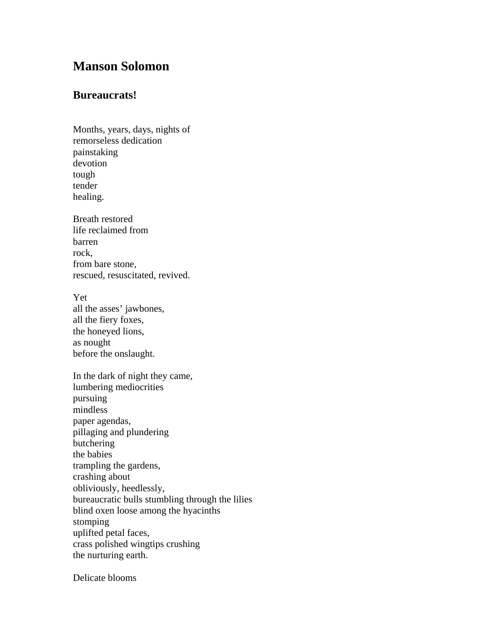## **Manson Solomon**

## **Bureaucrats!**

Months, years, days, nights of remorseless dedication painstaking devotion tough tender healing.

Breath restored life reclaimed from barren rock, from bare stone, rescued, resuscitated, revived.

Yet all the asses' jawbones, all the fiery foxes, the honeyed lions, as nought before the onslaught.

In the dark of night they came, lumbering mediocrities pursuing mindless paper agendas, pillaging and plundering butchering the babies trampling the gardens, crashing about obliviously, heedlessly, bureaucratic bulls stumbling through the lilies blind oxen loose among the hyacinths stomping uplifted petal faces, crass polished wingtips crushing the nurturing earth.

Delicate blooms